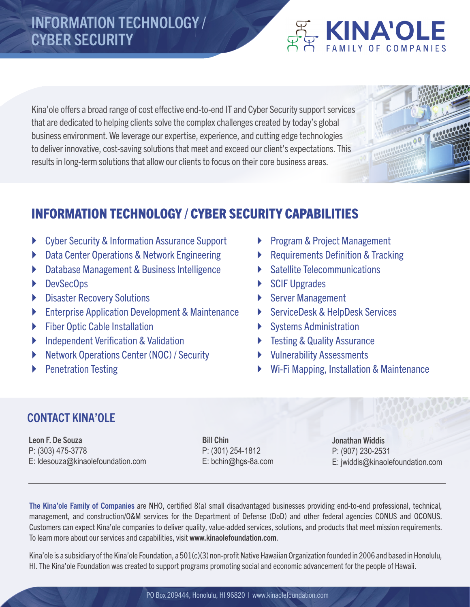# INFORMATION TECHNOLOGY / CYBER SECURITY

### Kina'ole offers a broad range of cost effective end-to-end IT and Cyber Security support services that are dedicated to helping clients solve the complex challenges created by today's global business environment. We leverage our expertise, experience, and cutting edge technologies to deliver innovative, cost-saving solutions that meet and exceed our client's expectations. This results in long-term solutions that allow our clients to focus on their core business areas.

# INFORMATION TECHNOLOGY / CYBER SECURITY CAPABILITIES

- **Cyber Security & Information Assurance Support**
- ` Data Center Operations & Network Engineering
- **Database Management & Business Intelligence**
- **DevSecOps**
- **Disaster Recovery Solutions**
- **Enterprise Application Development & Maintenance**
- **Eiber Optic Cable Installation**
- $\triangleright$  Independent Verification & Validation
- **Network Operations Center (NOC) / Security**
- ` Penetration Testing
- **Program & Project Management**
- Requirements Definition & Tracking
- Satellite Telecommunications
- SCIF Upgrades
- Server Management
- ▶ ServiceDesk & HelpDesk Services
- Systems Administration
- **Fig. 3** Testing & Quality Assurance
- $\blacktriangleright$  Vulnerability Assessments
- ` Wi-Fi Mapping, Installation & Maintenance

## CONTACT KINA'OLE

Leon F. De Souza P: (303) 475-3778 E: ldesouza@kinaolefoundation.com Bill Chin P: (301) 254-1812 E: bchin@hgs-8a.com Jonathan Widdis P: (907) 230-2531 E: jwiddis@kinaolefoundation.com

**FAMILY OF COMPANIES** 

The Kina'ole Family of Companies are NHO, certified 8(a) small disadvantaged businesses providing end-to-end professional, technical, management, and construction/O&M services for the Department of Defense (DoD) and other federal agencies CONUS and OCONUS. Customers can expect Kina'ole companies to deliver quality, value-added services, solutions, and products that meet mission requirements. To learn more about our services and capabilities, visit www.kinaolefoundation.com.

Kina'ole is a subsidiary of the Kina'ole Foundation, a 501(c)(3) non-profit Native Hawaiian Organization founded in 2006 and based in Honolulu, HI. The Kina'ole Foundation was created to support programs promoting social and economic advancement for the people of Hawaii.